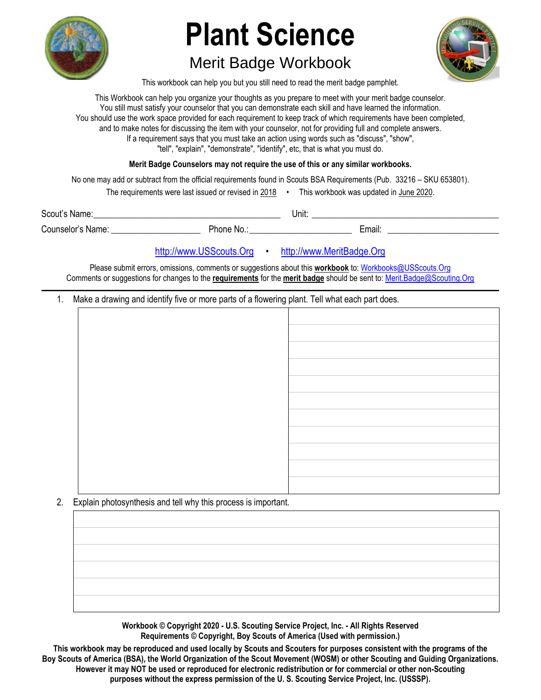

# **Plant Science**

## Merit Badge Workbook



This workbook can help you but you still need to read the merit badge pamphlet.

This Workbook can help you organize your thoughts as you prepare to meet with your merit badge counselor. You still must satisfy your counselor that you can demonstrate each skill and have learned the information. You should use the work space provided for each requirement to keep track of which requirements have been completed, and to make notes for discussing the item with your counselor, not for providing full and complete answers. If a requirement says that you must take an action using words such as "discuss", "show", "tell", "explain", "demonstrate", "identify", etc, that is what you must do.

**Merit Badge Counselors may not require the use of this or any similar workbooks.**

No one may add or subtract from the official requirements found in Scouts BSA Requirements (Pub. 33216 – SKU 653801).

The requirements were last issued or revised in 2018 • This workbook was updated in June 2020.

Scout's Name: \_\_\_\_\_\_\_\_\_\_\_\_\_\_\_\_\_\_\_\_\_\_\_\_\_\_\_\_\_\_\_\_\_\_\_\_\_\_\_\_\_\_ Unit: \_\_\_\_\_\_\_\_\_\_\_\_\_\_\_\_\_\_\_\_\_\_\_\_\_\_\_\_\_\_\_\_\_\_\_\_\_\_\_\_\_\_ Counselor's Name: \_\_\_\_\_\_\_\_\_\_\_\_\_\_\_\_\_\_\_\_ Phone No.: \_\_\_\_\_\_\_\_\_\_\_\_\_\_\_\_\_\_\_\_\_\_\_ Email: \_\_\_\_\_\_\_\_\_\_\_\_\_\_\_\_\_\_\_\_\_\_\_\_\_

http://www.USScouts.Org • http://www.MeritBadge.Org

Please submit errors, omissions, comments or suggestions about this **workbook** to: Workbooks@USScouts.Org Comments or suggestions for changes to the **requirements** for the **merit badge** should be sent to: Merit.Badge@Scouting.Org *\_\_\_\_\_\_\_\_\_\_\_\_\_\_\_\_\_\_\_\_\_\_\_\_\_\_\_\_\_\_\_\_\_\_\_\_\_\_\_\_\_\_\_\_\_\_\_\_\_\_\_\_\_\_\_\_\_\_\_\_\_\_\_\_\_\_\_\_\_\_\_\_\_\_\_\_\_\_\_\_\_\_\_\_\_\_\_\_\_\_\_\_\_\_\_\_\_\_\_\_\_\_\_\_\_\_\_\_\_\_\_\_\_\_\_\_\_\_\_\_\_\_\_\_\_\_\_\_\_\_\_\_\_\_\_\_\_\_\_\_\_\_* 

1. Make a drawing and identify five or more parts of a flowering plant. Tell what each part does.

2. Explain photosynthesis and tell why this process is important.

**Workbook © Copyright 2020 - U.S. Scouting Service Project, Inc. - All Rights Reserved Requirements © Copyright, Boy Scouts of America (Used with permission.)** 

**This workbook may be reproduced and used locally by Scouts and Scouters for purposes consistent with the programs of the Boy Scouts of America (BSA), the World Organization of the Scout Movement (WOSM) or other Scouting and Guiding Organizations. However it may NOT be used or reproduced for electronic redistribution or for commercial or other non-Scouting purposes without the express permission of the U. S. Scouting Service Project, Inc. (USSSP).**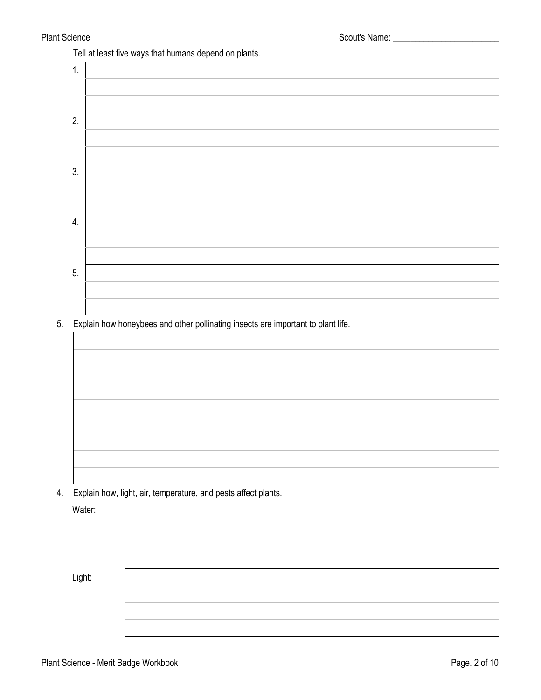Tell at least five ways that humans depend on plants.



5. Explain how honeybees and other pollinating insects are important to plant life.



4. Explain how, light, air, temperature, and pests affect plants.

Water:

Light: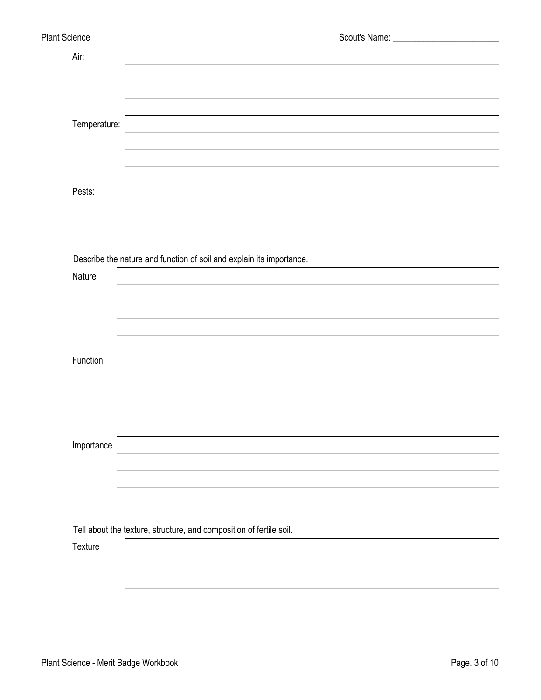| Air:         |                                                                      |
|--------------|----------------------------------------------------------------------|
|              |                                                                      |
|              |                                                                      |
|              |                                                                      |
| Temperature: |                                                                      |
|              |                                                                      |
|              |                                                                      |
|              |                                                                      |
| Pests:       |                                                                      |
|              |                                                                      |
|              |                                                                      |
|              |                                                                      |
|              | Describe the nature and function of soil and explain its importance. |
| Nature       |                                                                      |
|              |                                                                      |
|              |                                                                      |
|              |                                                                      |
|              |                                                                      |
| Function     |                                                                      |
|              |                                                                      |
|              |                                                                      |
|              |                                                                      |
|              |                                                                      |
| Importance   |                                                                      |
|              |                                                                      |
|              |                                                                      |
|              |                                                                      |
|              |                                                                      |
|              | Tell about the texture, structure, and composition of fertile soil.  |

**Texture**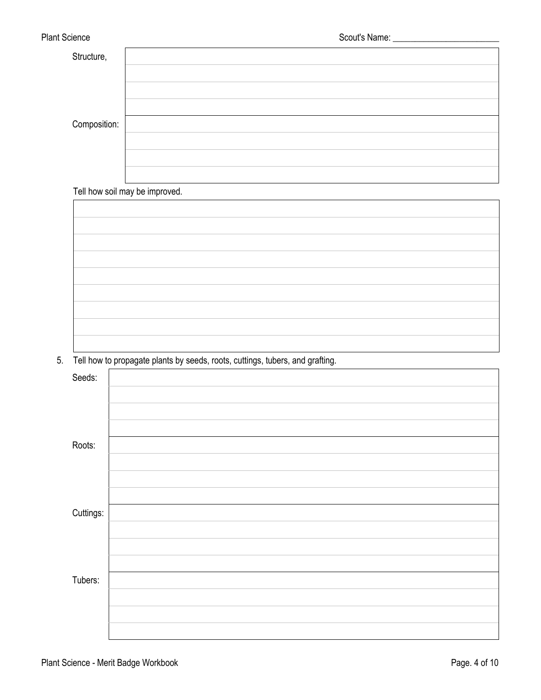| Structure,   |  |
|--------------|--|
|              |  |
|              |  |
|              |  |
| Composition: |  |
|              |  |
|              |  |
|              |  |

Tell how soil may be improved.

5. Tell how to propagate plants by seeds, roots, cuttings, tubers, and grafting.

| Seeds:    |  |
|-----------|--|
|           |  |
|           |  |
|           |  |
| Roots:    |  |
|           |  |
|           |  |
|           |  |
| Cuttings: |  |
|           |  |
|           |  |
|           |  |
| Tubers:   |  |
|           |  |
|           |  |
|           |  |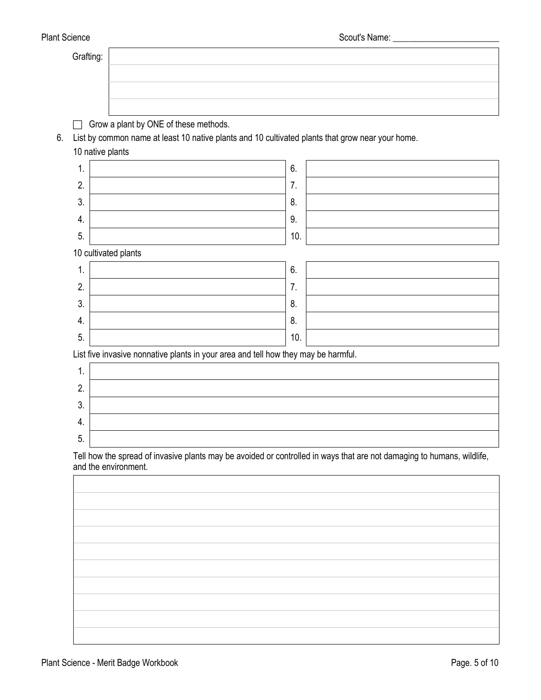| Grafting:<br>Grow a plant by ONE of these methods.<br>List by common name at least 10 native plants and 10 cultivated plants that grow near your home.<br>6.<br>10 native plants<br>6.<br>1.<br>2.<br>7.<br>3.<br>8.<br>9.<br>4.<br>5.<br>10.<br>10 cultivated plants<br>1.<br>6.<br>2.<br>7.<br>3.<br>8.<br>8.<br>4.<br>5.<br>10.<br>List five invasive nonnative plants in your area and tell how they may be harmful.<br>1.<br>2.<br>3.<br>4.<br>5.<br>Tell how the spread of invasive plants may be avoided or controlled in ways that are not damaging to humans, wildlife,<br>and the environment. |  |
|----------------------------------------------------------------------------------------------------------------------------------------------------------------------------------------------------------------------------------------------------------------------------------------------------------------------------------------------------------------------------------------------------------------------------------------------------------------------------------------------------------------------------------------------------------------------------------------------------------|--|
|                                                                                                                                                                                                                                                                                                                                                                                                                                                                                                                                                                                                          |  |
|                                                                                                                                                                                                                                                                                                                                                                                                                                                                                                                                                                                                          |  |
|                                                                                                                                                                                                                                                                                                                                                                                                                                                                                                                                                                                                          |  |
|                                                                                                                                                                                                                                                                                                                                                                                                                                                                                                                                                                                                          |  |
|                                                                                                                                                                                                                                                                                                                                                                                                                                                                                                                                                                                                          |  |
|                                                                                                                                                                                                                                                                                                                                                                                                                                                                                                                                                                                                          |  |
|                                                                                                                                                                                                                                                                                                                                                                                                                                                                                                                                                                                                          |  |
|                                                                                                                                                                                                                                                                                                                                                                                                                                                                                                                                                                                                          |  |
|                                                                                                                                                                                                                                                                                                                                                                                                                                                                                                                                                                                                          |  |
|                                                                                                                                                                                                                                                                                                                                                                                                                                                                                                                                                                                                          |  |
|                                                                                                                                                                                                                                                                                                                                                                                                                                                                                                                                                                                                          |  |
|                                                                                                                                                                                                                                                                                                                                                                                                                                                                                                                                                                                                          |  |
|                                                                                                                                                                                                                                                                                                                                                                                                                                                                                                                                                                                                          |  |
|                                                                                                                                                                                                                                                                                                                                                                                                                                                                                                                                                                                                          |  |
|                                                                                                                                                                                                                                                                                                                                                                                                                                                                                                                                                                                                          |  |
|                                                                                                                                                                                                                                                                                                                                                                                                                                                                                                                                                                                                          |  |
|                                                                                                                                                                                                                                                                                                                                                                                                                                                                                                                                                                                                          |  |
|                                                                                                                                                                                                                                                                                                                                                                                                                                                                                                                                                                                                          |  |
|                                                                                                                                                                                                                                                                                                                                                                                                                                                                                                                                                                                                          |  |
|                                                                                                                                                                                                                                                                                                                                                                                                                                                                                                                                                                                                          |  |
|                                                                                                                                                                                                                                                                                                                                                                                                                                                                                                                                                                                                          |  |
|                                                                                                                                                                                                                                                                                                                                                                                                                                                                                                                                                                                                          |  |
|                                                                                                                                                                                                                                                                                                                                                                                                                                                                                                                                                                                                          |  |
|                                                                                                                                                                                                                                                                                                                                                                                                                                                                                                                                                                                                          |  |
|                                                                                                                                                                                                                                                                                                                                                                                                                                                                                                                                                                                                          |  |
|                                                                                                                                                                                                                                                                                                                                                                                                                                                                                                                                                                                                          |  |
|                                                                                                                                                                                                                                                                                                                                                                                                                                                                                                                                                                                                          |  |
|                                                                                                                                                                                                                                                                                                                                                                                                                                                                                                                                                                                                          |  |
|                                                                                                                                                                                                                                                                                                                                                                                                                                                                                                                                                                                                          |  |
|                                                                                                                                                                                                                                                                                                                                                                                                                                                                                                                                                                                                          |  |
|                                                                                                                                                                                                                                                                                                                                                                                                                                                                                                                                                                                                          |  |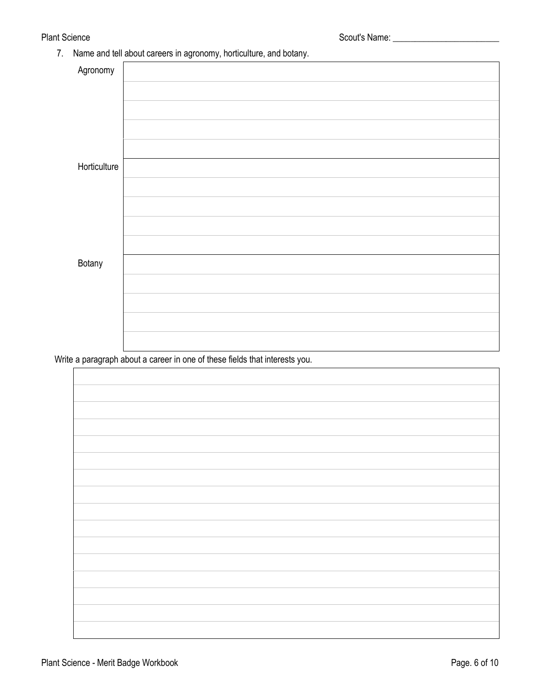7. Name and tell about careers in agronomy, horticulture, and botany.

| Agronomy     |  |
|--------------|--|
|              |  |
|              |  |
|              |  |
|              |  |
| Horticulture |  |
|              |  |
|              |  |
|              |  |
|              |  |
| Botany       |  |
|              |  |
|              |  |
|              |  |
|              |  |
|              |  |

Write a paragraph about a career in one of these fields that interests you.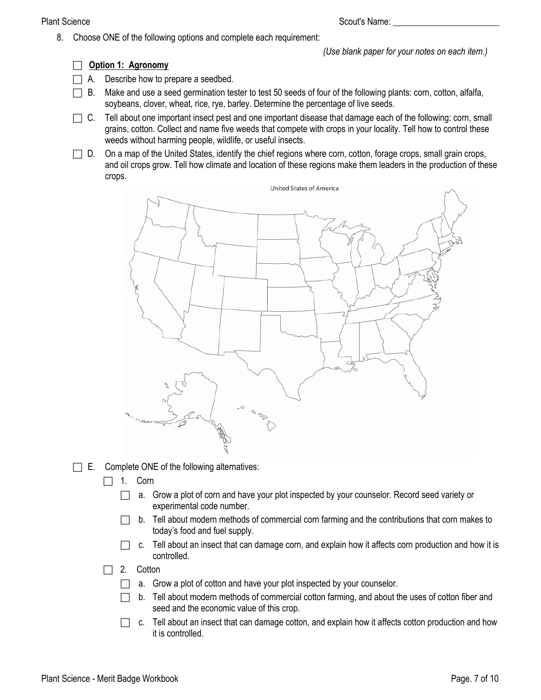Plant Science Scout's Name: \_\_\_\_\_\_\_\_\_\_\_\_\_\_\_\_\_\_\_\_\_\_\_\_

8. Choose ONE of the following options and complete each requirement:

*(Use blank paper for your notes on each item.)* 

## **Option 1: Agronomy**

- $\Box$  A. Describe how to prepare a seedbed.
- $\Box$  B. Make and use a seed germination tester to test 50 seeds of four of the following plants: corn, cotton, alfalfa, soybeans, clover, wheat, rice, rye, barley. Determine the percentage of live seeds.
- $\Box$  C. Tell about one important insect pest and one important disease that damage each of the following: corn, small grains, cotton. Collect and name five weeds that compete with crops in your locality. Tell how to control these weeds without harming people, wildlife, or useful insects.
- $\Box$  D. On a map of the United States, identify the chief regions where corn, cotton, forage crops, small grain crops, and oil crops grow. Tell how climate and location of these regions make them leaders in the production of these crops.



 $\Box$  E. Complete ONE of the following alternatives:

- $\Box$  1. Corn
	- $\Box$  a. Grow a plot of corn and have your plot inspected by your counselor. Record seed variety or experimental code number.
	- b. Tell about modern methods of commercial corn farming and the contributions that corn makes to today's food and fuel supply.
	- $\Box$  c. Tell about an insect that can damage corn, and explain how it affects corn production and how it is controlled.
- $\Box$  2. Cotton
	- $\Box$  a. Grow a plot of cotton and have your plot inspected by your counselor.
	- $\Box$  b. Tell about modern methods of commercial cotton farming, and about the uses of cotton fiber and seed and the economic value of this crop.
	- $\Box$  c. Tell about an insect that can damage cotton, and explain how it affects cotton production and how it is controlled.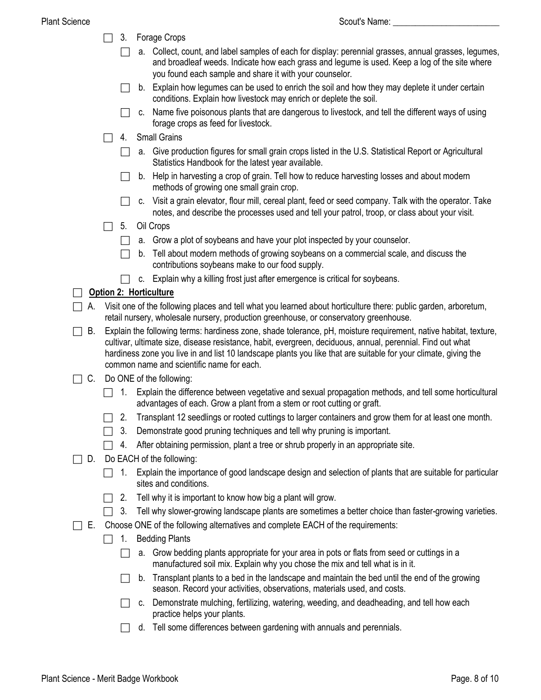- □ 3. Forage Crops
	- $\Box$  a. Collect, count, and label samples of each for display: perennial grasses, annual grasses, legumes, and broadleaf weeds. Indicate how each grass and legume is used. Keep a log of the site where you found each sample and share it with your counselor.
	- $\Box$  b. Explain how legumes can be used to enrich the soil and how they may deplete it under certain conditions. Explain how livestock may enrich or deplete the soil.
	- $\Box$  c. Name five poisonous plants that are dangerous to livestock, and tell the different ways of using forage crops as feed for livestock.
- $\Box$  4. Small Grains
	- $\Box$  a. Give production figures for small grain crops listed in the U.S. Statistical Report or Agricultural Statistics Handbook for the latest year available.
	- $\Box$  b. Help in harvesting a crop of grain. Tell how to reduce harvesting losses and about modern methods of growing one small grain crop.
	- $\Box$  c. Visit a grain elevator, flour mill, cereal plant, feed or seed company. Talk with the operator. Take notes, and describe the processes used and tell your patrol, troop, or class about your visit.
- $\Box$  5. Oil Crops
	- $\Box$  a. Grow a plot of soybeans and have your plot inspected by your counselor.
	- $\Box$  b. Tell about modern methods of growing soybeans on a commercial scale, and discuss the contributions soybeans make to our food supply.
	- $\Box$  c. Explain why a killing frost just after emergence is critical for soybeans.

## **Option 2: Horticulture**

- $\Box$  A. Visit one of the following places and tell what you learned about horticulture there: public garden, arboretum, retail nursery, wholesale nursery, production greenhouse, or conservatory greenhouse.
- $\Box$  B. Explain the following terms: hardiness zone, shade tolerance, pH, moisture requirement, native habitat, texture, cultivar, ultimate size, disease resistance, habit, evergreen, deciduous, annual, perennial. Find out what hardiness zone you live in and list 10 landscape plants you like that are suitable for your climate, giving the common name and scientific name for each.
- $\Box$  C. Do ONE of the following:
	- $\Box$  1. Explain the difference between vegetative and sexual propagation methods, and tell some horticultural advantages of each. Grow a plant from a stem or root cutting or graft.
	- $\Box$  2. Transplant 12 seedlings or rooted cuttings to larger containers and grow them for at least one month.
	- $\Box$  3. Demonstrate good pruning techniques and tell why pruning is important.
	- $\Box$  4. After obtaining permission, plant a tree or shrub properly in an appropriate site.
- $\Box$  D. Do EACH of the following:
	- $\Box$  1. Explain the importance of good landscape design and selection of plants that are suitable for particular sites and conditions.
	- $\Box$  2. Tell why it is important to know how big a plant will grow.
	- $\Box$  3. Tell why slower-growing landscape plants are sometimes a better choice than faster-growing varieties.
- $\Box$  E. Choose ONE of the following alternatives and complete EACH of the requirements:
	- $\Box$  1. Bedding Plants
		- a. Grow bedding plants appropriate for your area in pots or flats from seed or cuttings in a manufactured soil mix. Explain why you chose the mix and tell what is in it.
		- $\Box$  b. Transplant plants to a bed in the landscape and maintain the bed until the end of the growing season. Record your activities, observations, materials used, and costs.
		- c. Demonstrate mulching, fertilizing, watering, weeding, and deadheading, and tell how each practice helps your plants.
		- $\Box$  d. Tell some differences between gardening with annuals and perennials.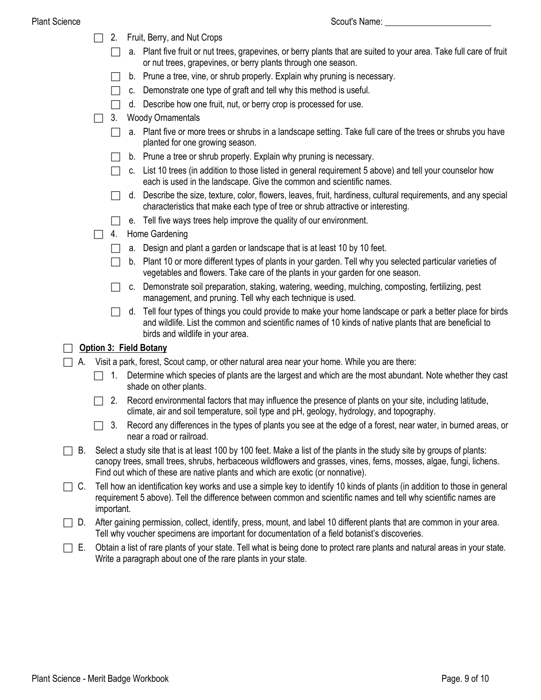#### Plant Science

| Scout's Name: |  |
|---------------|--|
|               |  |

|           |                                                                                                    | 2.                                                                                                                                                                                                                                                                                                                              | Fruit, Berry, and Nut Crops                                                                                                                                                                                                                                  |  |  |  |
|-----------|----------------------------------------------------------------------------------------------------|---------------------------------------------------------------------------------------------------------------------------------------------------------------------------------------------------------------------------------------------------------------------------------------------------------------------------------|--------------------------------------------------------------------------------------------------------------------------------------------------------------------------------------------------------------------------------------------------------------|--|--|--|
|           |                                                                                                    |                                                                                                                                                                                                                                                                                                                                 | a. Plant five fruit or nut trees, grapevines, or berry plants that are suited to your area. Take full care of fruit<br>or nut trees, grapevines, or berry plants through one season.                                                                         |  |  |  |
|           |                                                                                                    |                                                                                                                                                                                                                                                                                                                                 | b. Prune a tree, vine, or shrub properly. Explain why pruning is necessary.                                                                                                                                                                                  |  |  |  |
|           |                                                                                                    |                                                                                                                                                                                                                                                                                                                                 | c. Demonstrate one type of graft and tell why this method is useful.                                                                                                                                                                                         |  |  |  |
|           |                                                                                                    |                                                                                                                                                                                                                                                                                                                                 | d. Describe how one fruit, nut, or berry crop is processed for use.                                                                                                                                                                                          |  |  |  |
|           |                                                                                                    | 3.                                                                                                                                                                                                                                                                                                                              | <b>Woody Ornamentals</b>                                                                                                                                                                                                                                     |  |  |  |
|           |                                                                                                    |                                                                                                                                                                                                                                                                                                                                 | a. Plant five or more trees or shrubs in a landscape setting. Take full care of the trees or shrubs you have<br>planted for one growing season.                                                                                                              |  |  |  |
|           |                                                                                                    |                                                                                                                                                                                                                                                                                                                                 | b. Prune a tree or shrub properly. Explain why pruning is necessary.                                                                                                                                                                                         |  |  |  |
|           |                                                                                                    |                                                                                                                                                                                                                                                                                                                                 | c. List 10 trees (in addition to those listed in general requirement 5 above) and tell your counselor how<br>each is used in the landscape. Give the common and scientific names.                                                                            |  |  |  |
|           |                                                                                                    |                                                                                                                                                                                                                                                                                                                                 | Describe the size, texture, color, flowers, leaves, fruit, hardiness, cultural requirements, and any special<br>d.<br>characteristics that make each type of tree or shrub attractive or interesting.                                                        |  |  |  |
|           |                                                                                                    |                                                                                                                                                                                                                                                                                                                                 | e. Tell five ways trees help improve the quality of our environment.                                                                                                                                                                                         |  |  |  |
|           |                                                                                                    | 4.                                                                                                                                                                                                                                                                                                                              | Home Gardening                                                                                                                                                                                                                                               |  |  |  |
|           |                                                                                                    |                                                                                                                                                                                                                                                                                                                                 | a. Design and plant a garden or landscape that is at least 10 by 10 feet.                                                                                                                                                                                    |  |  |  |
|           |                                                                                                    |                                                                                                                                                                                                                                                                                                                                 | b. Plant 10 or more different types of plants in your garden. Tell why you selected particular varieties of<br>vegetables and flowers. Take care of the plants in your garden for one season.                                                                |  |  |  |
|           |                                                                                                    |                                                                                                                                                                                                                                                                                                                                 | c. Demonstrate soil preparation, staking, watering, weeding, mulching, composting, fertilizing, pest<br>management, and pruning. Tell why each technique is used.                                                                                            |  |  |  |
|           |                                                                                                    |                                                                                                                                                                                                                                                                                                                                 | Tell four types of things you could provide to make your home landscape or park a better place for birds<br>d.<br>and wildlife. List the common and scientific names of 10 kinds of native plants that are beneficial to<br>birds and wildlife in your area. |  |  |  |
|           |                                                                                                    |                                                                                                                                                                                                                                                                                                                                 | <b>Option 3: Field Botany</b>                                                                                                                                                                                                                                |  |  |  |
|           | Visit a park, forest, Scout camp, or other natural area near your home. While you are there:<br>А. |                                                                                                                                                                                                                                                                                                                                 |                                                                                                                                                                                                                                                              |  |  |  |
|           |                                                                                                    | 1.                                                                                                                                                                                                                                                                                                                              | Determine which species of plants are the largest and which are the most abundant. Note whether they cast<br>shade on other plants.                                                                                                                          |  |  |  |
|           |                                                                                                    | 2.                                                                                                                                                                                                                                                                                                                              | Record environmental factors that may influence the presence of plants on your site, including latitude,<br>climate, air and soil temperature, soil type and pH, geology, hydrology, and topography.                                                         |  |  |  |
|           |                                                                                                    |                                                                                                                                                                                                                                                                                                                                 | 3. Record any differences in the types of plants you see at the edge of a forest, near water, in burned areas, or<br>near a road or railroad.                                                                                                                |  |  |  |
| В.        |                                                                                                    | Select a study site that is at least 100 by 100 feet. Make a list of the plants in the study site by groups of plants:<br>canopy trees, small trees, shrubs, herbaceous wildflowers and grasses, vines, ferns, mosses, algae, fungi, lichens.<br>Find out which of these are native plants and which are exotic (or nonnative). |                                                                                                                                                                                                                                                              |  |  |  |
| $\Box$ C. |                                                                                                    | Tell how an identification key works and use a simple key to identify 10 kinds of plants (in addition to those in general<br>requirement 5 above). Tell the difference between common and scientific names and tell why scientific names are<br>important.                                                                      |                                                                                                                                                                                                                                                              |  |  |  |
| D.        |                                                                                                    |                                                                                                                                                                                                                                                                                                                                 | After gaining permission, collect, identify, press, mount, and label 10 different plants that are common in your area.                                                                                                                                       |  |  |  |

Tell why voucher specimens are important for documentation of a field botanist's discoveries.

 $\Box$  E. Obtain a list of rare plants of your state. Tell what is being done to protect rare plants and natural areas in your state. Write a paragraph about one of the rare plants in your state.